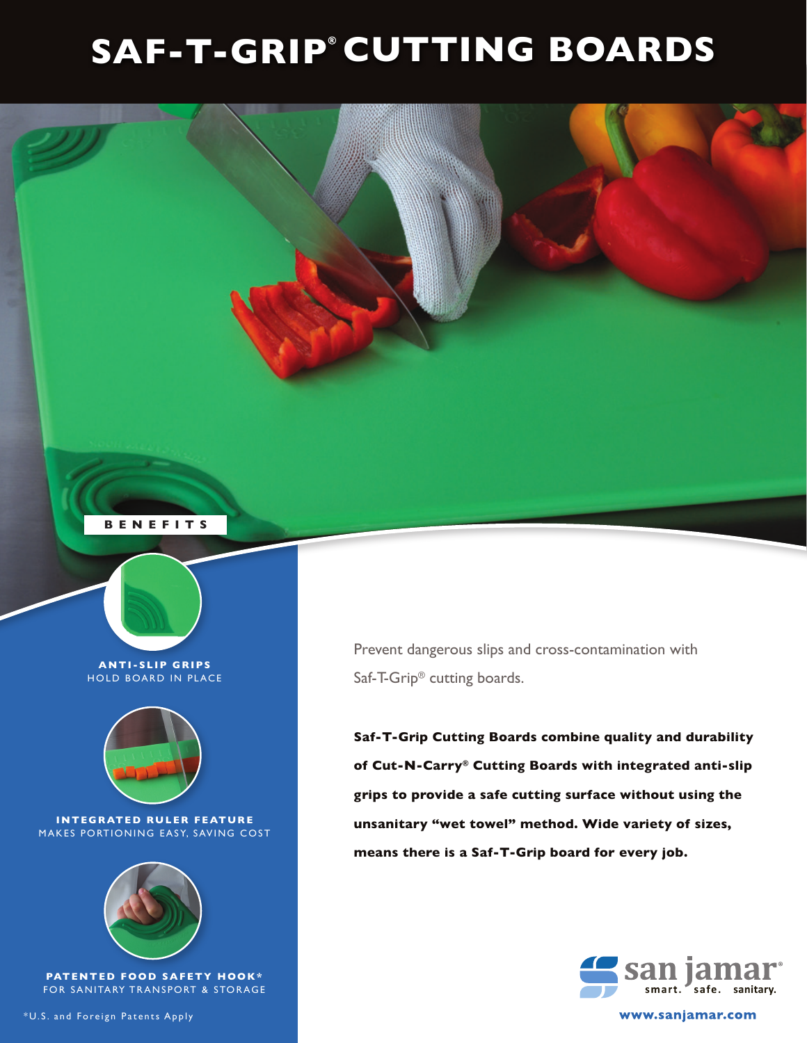## **SAF-T-GRIP CUTTING BOARDS**





\*U.S. and Foreign Patents Apply

Prevent dangerous slips and cross-contamination with Saf-T-Grip® cutting boards.

**Saf-T-Grip Cutting Boards combine quality and durability of Cut-N-Carry® Cutting Boards with integrated anti-slip grips to provide a safe cutting surface without using the unsanitary "wet towel" method. Wide variety of sizes, means there is a Saf-T-Grip board for every job.**



www.sanjamar.com